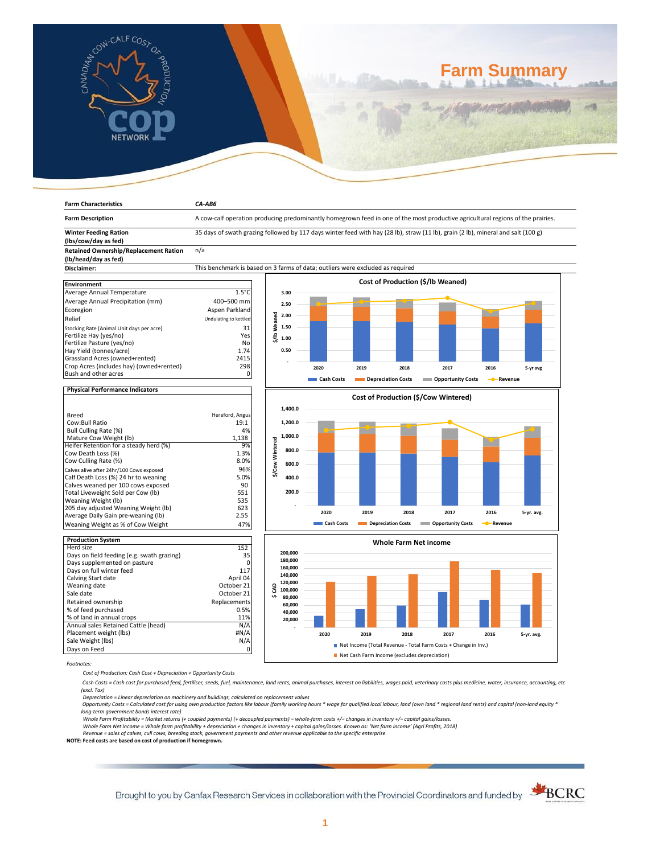

**Farm Characteristics** *CA-AB6*

# **Farm Summary**

| <b>Farm Description</b>                              | A cow-calf operation producing predominantly homegrown feed in one of the most productive agricultural regions of the prairies.   |                 |         |            |                    |                              |                                      |           |            |
|------------------------------------------------------|-----------------------------------------------------------------------------------------------------------------------------------|-----------------|---------|------------|--------------------|------------------------------|--------------------------------------|-----------|------------|
| <b>Winter Feeding Ration</b><br>(lbs/cow/day as fed) | 35 days of swath grazing followed by 117 days winter feed with hay (28 lb), straw (11 lb), grain (2 lb), mineral and salt (100 g) |                 |         |            |                    |                              |                                      |           |            |
| <b>Retained Ownership/Replacement Ration</b>         | n/a                                                                                                                               |                 |         |            |                    |                              |                                      |           |            |
| (lb/head/day as fed)                                 |                                                                                                                                   |                 |         |            |                    |                              |                                      |           |            |
| Disclaimer:                                          | This benchmark is based on 3 farms of data; outliers were excluded as required                                                    |                 |         |            |                    |                              |                                      |           |            |
|                                                      |                                                                                                                                   |                 |         |            |                    |                              |                                      |           |            |
| <b>Environment</b>                                   |                                                                                                                                   |                 |         |            |                    |                              | Cost of Production (\$/lb Weaned)    |           |            |
| Average Annual Temperature                           | $1.5^{\circ}$ C                                                                                                                   |                 | 3.00    |            |                    |                              |                                      |           |            |
| Average Annual Precipitation (mm)                    | 400-500 mm                                                                                                                        |                 | 2.50    |            |                    |                              |                                      |           |            |
| Ecoregion                                            | Aspen Parkland                                                                                                                    |                 |         |            |                    |                              |                                      |           |            |
| Relief                                               | Undulating to kettled                                                                                                             |                 | 2.00    |            |                    |                              |                                      |           |            |
| Stocking Rate (Animal Unit days per acre)            | 31                                                                                                                                | \$/lb Weaned    | 1.50    |            |                    |                              |                                      |           |            |
| Fertilize Hay (yes/no)                               | Yes                                                                                                                               |                 |         |            |                    |                              |                                      |           |            |
| Fertilize Pasture (yes/no)                           | No                                                                                                                                |                 | 1.00    |            |                    |                              |                                      |           |            |
| Hay Yield (tonnes/acre)                              | 1.74                                                                                                                              |                 | 0.50    |            |                    |                              |                                      |           |            |
| Grassland Acres (owned+rented)                       | 2415                                                                                                                              |                 |         |            |                    |                              |                                      |           |            |
| Crop Acres (includes hay) (owned+rented)             | 298                                                                                                                               |                 |         | 2020       | 2019               | 2018                         | 2017                                 | 2016      | 5-yr avg   |
| Bush and other acres                                 | 0                                                                                                                                 |                 |         |            | Depreciation Costs |                              |                                      |           |            |
|                                                      |                                                                                                                                   |                 |         | Cash Costs |                    |                              | Opportunity Costs                    | - Revenue |            |
| <b>Physical Performance Indicators</b>               |                                                                                                                                   |                 |         |            |                    |                              |                                      |           |            |
|                                                      |                                                                                                                                   |                 |         |            |                    |                              | Cost of Production (\$/Cow Wintered) |           |            |
|                                                      |                                                                                                                                   |                 | 1,400.0 |            |                    |                              |                                      |           |            |
| Breed                                                | Hereford, Angus                                                                                                                   |                 |         |            |                    |                              |                                      |           |            |
| Cow:Bull Ratio<br><b>Bull Culling Rate (%)</b>       | 19:1<br>4%                                                                                                                        |                 | 1,200.0 |            |                    |                              |                                      |           |            |
| Mature Cow Weight (lb)                               | 1,138                                                                                                                             |                 | 1,000.0 |            |                    |                              |                                      |           |            |
| Heifer Retention for a steady herd (%)               | 9%                                                                                                                                | \$/Cow Wintered |         |            |                    |                              |                                      |           |            |
| Cow Death Loss (%)                                   | 1.3%                                                                                                                              |                 | 800.0   |            |                    |                              |                                      |           |            |
| Cow Culling Rate (%)                                 | 8.0%                                                                                                                              |                 | 600.0   |            |                    |                              |                                      |           |            |
| Calves alive after 24hr/100 Cows exposed             | 96%                                                                                                                               |                 |         |            |                    |                              |                                      |           |            |
| Calf Death Loss (%) 24 hr to weaning                 | 5.0%                                                                                                                              |                 | 400.0   |            |                    |                              |                                      |           |            |
| Calves weaned per 100 cows exposed                   | 90                                                                                                                                |                 |         |            |                    |                              |                                      |           |            |
| Total Liveweight Sold per Cow (lb)                   | 551                                                                                                                               |                 | 200.0   |            |                    |                              |                                      |           |            |
| Weaning Weight (lb)                                  | 535                                                                                                                               |                 |         |            |                    |                              |                                      |           |            |
| 205 day adjusted Weaning Weight (lb)                 | 623                                                                                                                               |                 |         | 2020       | 2019               | 2018                         | 2017                                 | 2016      | 5-yr. avg. |
| Average Daily Gain pre-weaning (lb)                  | 2.55                                                                                                                              |                 |         |            |                    |                              |                                      |           |            |
| Weaning Weight as % of Cow Weight                    | 47%                                                                                                                               |                 |         | Cash Costs |                    | <b>Depreciation Costs</b>    | <b>COPPORTUGITY COSTS</b>            | - Revenue |            |
| <b>Production System</b>                             |                                                                                                                                   |                 |         |            |                    |                              |                                      |           |            |
| Herd size                                            | 152                                                                                                                               |                 |         |            |                    | <b>Whole Farm Net income</b> |                                      |           |            |
| Days on field feeding (e.g. swath grazing)           | 35                                                                                                                                |                 | 200,000 |            |                    |                              |                                      |           |            |
| Days supplemented on pasture                         | $\Omega$                                                                                                                          |                 | 180,000 |            |                    |                              |                                      |           |            |
| Days on full winter feed                             | 117                                                                                                                               |                 | 160,000 |            |                    |                              |                                      |           |            |
| Calving Start date                                   | April 04                                                                                                                          |                 | 140,000 |            |                    |                              |                                      |           |            |
| Weaning date                                         | October 21                                                                                                                        | $\mathbf{Q}$    | 120,000 |            |                    |                              |                                      |           |            |



*Footnotes:*

Weaning date<br>Sale date

*Cost of Production: Cash Cost + Depreciation + Opportunity Costs*

Retained ownership<br>
% of feed purchased<br>
0.5% % of feed purchased 0.5% % of land in annual crops 11% Annual sales Retained Cattle (head) N/A Placement weight (lbs) #N/A Sale Weight (lbs) N/A Days on Feed 0

 *Cash Costs = Cash cost for purchased feed, fertiliser, seeds, fuel, maintenance, land rents, animal purchases, interest on liabilities, wages paid, veterinary costs plus medicine, water, insurance, accounting, etc (excl. Tax)* 

October 21

Depreciation = Linear depreciation on machinery and buildings, calculated on replacement values<br>Opportunity Costs = Calculated cost for using own production factors like labour (family working hours \* wage for qualified lo *long-term government bonds interest rate)* 

Whole Farm Profitability = Market returns (+ coupled payments) (+ decoupled payments) – whole-farm costs +/– changes in inventory +/– capital gains/losses.<br>Whole Farm Net Income = Whole farm profitability + depreciation +

*Revenue = sales of calves, cull cows, breeding stock, government payments and other revenue applicable to the specific enterprise* **NOTE: Feed costs are based on cost of production if homegrown.**

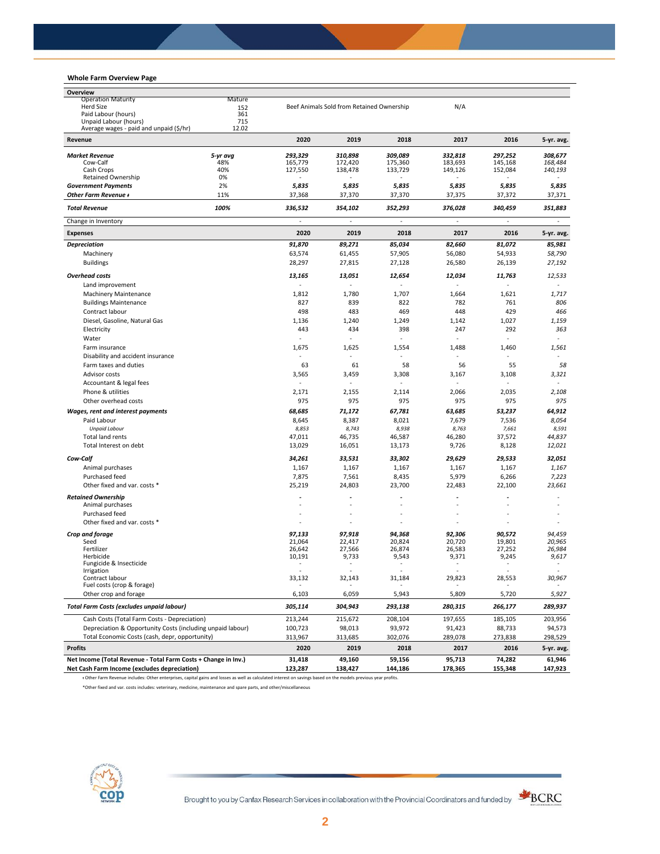## **Whole Farm Overview Page**

| Whole Farm Overview Page                                       |            |           |                                           |         |         |         |            |
|----------------------------------------------------------------|------------|-----------|-------------------------------------------|---------|---------|---------|------------|
| Overview                                                       |            |           |                                           |         |         |         |            |
| <b>Operation Maturity</b>                                      | Mature     |           |                                           |         |         |         |            |
| <b>Herd Size</b><br>Paid Labour (hours)                        | 152<br>361 |           | Beef Animals Sold from Retained Ownership |         | N/A     |         |            |
| Unpaid Labour (hours)                                          | 715        |           |                                           |         |         |         |            |
| Average wages - paid and unpaid (\$/hr)                        | 12.02      |           |                                           |         |         |         |            |
| Revenue                                                        |            | 2020      | 2019                                      | 2018    | 2017    | 2016    | 5-yr. avg. |
| <b>Market Revenue</b>                                          | 5-yr avg   | 293,329   | 310,898                                   | 309,089 | 332,818 | 297,252 | 308,677    |
| Cow-Calf                                                       | 48%        | 165,779   | 172,420                                   | 175,360 | 183,693 | 145,168 | 168,484    |
| Cash Crops<br><b>Retained Ownership</b>                        | 40%<br>0%  | 127,550   | 138,478                                   | 133,729 | 149,126 | 152,084 | 140,193    |
| <b>Government Payments</b>                                     | 2%         | 5,835     | 5,835                                     | 5,835   | 5,835   | 5,835   | 5,835      |
| Other Farm Revenue +                                           | 11%        | 37,368    | 37,370                                    | 37,370  | 37,375  | 37,372  | 37,371     |
| <b>Total Revenue</b>                                           | 100%       | 336,532   | 354,102                                   | 352,293 | 376,028 | 340,459 | 351,883    |
| Change in Inventory                                            |            | $\bar{z}$ | ÷,                                        | ÷,      | ÷,      | ä,      | ÷.         |
| <b>Expenses</b>                                                |            | 2020      | 2019                                      | 2018    | 2017    | 2016    | 5-yr. avg. |
| <b>Depreciation</b>                                            |            | 91,870    | 89,271                                    | 85,034  | 82,660  | 81,072  | 85,981     |
| Machinery                                                      |            | 63,574    | 61,455                                    | 57,905  | 56,080  | 54,933  | 58,790     |
| <b>Buildings</b>                                               |            | 28,297    | 27,815                                    | 27,128  | 26,580  | 26,139  | 27,192     |
| <b>Overhead costs</b>                                          |            | 13,165    | 13,051                                    | 12,654  | 12,034  | 11,763  | 12,533     |
| Land improvement                                               |            |           |                                           |         |         |         |            |
| Machinery Maintenance                                          |            | 1,812     | 1,780                                     | 1,707   | 1,664   | 1,621   | 1,717      |
| <b>Buildings Maintenance</b>                                   |            | 827       | 839                                       | 822     | 782     | 761     | 806        |
| Contract labour                                                |            | 498       | 483                                       | 469     | 448     | 429     | 466        |
| Diesel, Gasoline, Natural Gas                                  |            | 1,136     | 1,240                                     | 1,249   | 1,142   | 1,027   | 1,159      |
| Electricity                                                    |            | 443       | 434                                       | 398     | 247     | 292     | 363        |
| Water                                                          |            | ä,        |                                           | ä,      | ÷,      | ä,      | ÷,         |
| Farm insurance                                                 |            | 1,675     | 1,625                                     | 1,554   | 1,488   | 1,460   | 1,561      |
| Disability and accident insurance                              |            | $\sim$    |                                           |         |         |         |            |
| Farm taxes and duties                                          |            | 63        | 61                                        | 58      | 56      | 55      | 58         |
| Advisor costs                                                  |            | 3,565     | 3,459                                     | 3,308   | 3,167   | 3,108   | 3,321      |
| Accountant & legal fees                                        |            | ÷.        |                                           |         |         |         |            |
| Phone & utilities                                              |            | 2,171     | 2,155                                     | 2,114   | 2,066   | 2,035   | 2,108      |
| Other overhead costs                                           |            | 975       | 975                                       | 975     | 975     | 975     | 975        |
| <b>Wages, rent and interest payments</b>                       |            | 68,685    | 71,172                                    | 67,781  | 63,685  | 53,237  | 64,912     |
| Paid Labour                                                    |            | 8,645     | 8,387                                     | 8,021   | 7,679   | 7,536   | 8,054      |
| <b>Unpaid Labour</b>                                           |            | 8,853     | 8,743                                     | 8,938   | 8,763   | 7,661   | 8,591      |
| Total land rents<br>Total Interest on debt                     |            | 47,011    | 46,735                                    | 46,587  | 46,280  | 37,572  | 44,837     |
|                                                                |            | 13,029    | 16,051                                    | 13,173  | 9,726   | 8,128   | 12,021     |
| Cow-Calf                                                       |            | 34,261    | 33,531                                    | 33,302  | 29,629  | 29,533  | 32,051     |
| Animal purchases                                               |            | 1,167     | 1,167                                     | 1,167   | 1,167   | 1,167   | 1,167      |
| Purchased feed                                                 |            | 7,875     | 7,561                                     | 8,435   | 5,979   | 6,266   | 7,223      |
| Other fixed and var. costs *                                   |            | 25,219    | 24,803                                    | 23,700  | 22,483  | 22,100  | 23,661     |
| <b>Retained Ownership</b>                                      |            |           |                                           |         |         |         |            |
| Animal purchases                                               |            |           |                                           |         |         |         |            |
| Purchased feed                                                 |            |           |                                           |         |         |         |            |
| Other fixed and var. costs *                                   |            |           |                                           |         |         |         |            |
| Crop and forage                                                |            | 97,133    | 97,918                                    | 94,368  | 92,306  | 90,572  | 94,459     |
| Seed                                                           |            | 21,064    | 22,417                                    | 20,824  | 20,720  | 19,801  | 20,965     |
| Fertilizer                                                     |            | 26,642    | 27,566                                    | 26,874  | 26,583  | 27,252  | 26,984     |
| Herbicide<br>Fungicide & Insecticide                           |            | 10,191    | 9,733                                     | 9,543   | 9,371   | 9,245   | 9,617      |
| Irrigation                                                     |            |           |                                           |         |         |         |            |
| Contract labour                                                |            | 33,132    | 32,143                                    | 31,184  | 29,823  | 28,553  | 30,967     |
| Fuel costs (crop & forage)<br>Other crop and forage            |            | 6,103     | 6,059                                     | 5,943   | 5,809   | 5,720   | 5,927      |
| Total Farm Costs (excludes unpaid labour)                      |            | 305,114   | 304,943                                   | 293,138 | 280,315 | 266,177 | 289,937    |
| Cash Costs (Total Farm Costs - Depreciation)                   |            | 213,244   | 215,672                                   | 208,104 | 197,655 | 185,105 | 203,956    |
| Depreciation & Opportunity Costs (including unpaid labour)     |            | 100,723   | 98,013                                    | 93,972  | 91,423  | 88,733  | 94,573     |
| Total Economic Costs (cash, depr, opportunity)                 |            | 313,967   | 313,685                                   | 302,076 | 289,078 | 273,838 | 298,529    |
| <b>Profits</b>                                                 |            | 2020      | 2019                                      | 2018    | 2017    | 2016    | 5-yr. avg. |
| Net Income (Total Revenue - Total Farm Costs + Change in Inv.) |            | 31,418    | 49,160                                    | 59,156  | 95,713  | 74,282  | 61,946     |
| Net Cash Farm Income (excludes depreciation)                   |            | 123,287   | 138,427                                   | 144,186 | 178,365 | 155,348 | 147,923    |
|                                                                |            |           |                                           |         |         |         |            |

ᵻ Other Farm Revenue includes: Other enterprises, capital gains and losses as well as calculated interest on savings based on the models previous year profits.

\*Other fixed and var. costs includes: veterinary, medicine, maintenance and spare parts, and other/miscellaneous

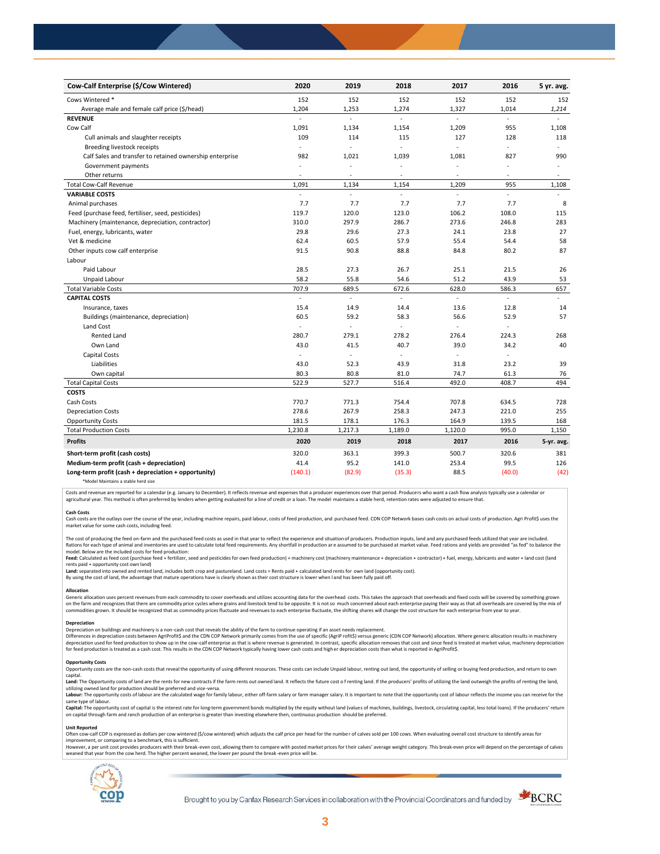| Cow-Calf Enterprise (\$/Cow Wintered)                    | 2020                     | 2019                     | 2018                     | 2017                     | 2016   | 5 yr. avg.     |
|----------------------------------------------------------|--------------------------|--------------------------|--------------------------|--------------------------|--------|----------------|
| Cows Wintered *                                          | 152                      | 152                      | 152                      | 152                      | 152    | 152            |
| Average male and female calf price (\$/head)             | 1,204                    | 1,253                    | 1,274                    | 1,327                    | 1,014  | 1,214          |
| <b>REVENUE</b>                                           | $\overline{a}$           | L.                       | L.                       | ä,                       | ÷.     |                |
| Cow Calf                                                 | 1,091                    | 1,134                    | 1,154                    | 1,209                    | 955    | 1,108          |
| Cull animals and slaughter receipts                      | 109                      | 114                      | 115                      | 127                      | 128    | 118            |
| Breeding livestock receipts                              | ÷.                       | ÷,                       | ÷.                       | ä,                       | $\sim$ | ÷              |
| Calf Sales and transfer to retained ownership enterprise | 982                      | 1,021                    | 1,039                    | 1,081                    | 827    | 990            |
| Government payments                                      | $\sim$                   | ÷,                       | ÷,                       | $\sim$                   | ÷,     | $\blacksquare$ |
| Other returns                                            | $\overline{\phantom{a}}$ | ٠                        | $\overline{\phantom{a}}$ | $\overline{\phantom{a}}$ | ÷,     | $\sim$         |
| <b>Total Cow-Calf Revenue</b>                            | 1,091                    | 1,134                    | 1,154                    | 1,209                    | 955    | 1,108          |
| <b>VARIABLE COSTS</b>                                    | ä,                       | L.                       | L.                       | L.                       | L.     | ÷              |
| Animal purchases                                         | 7.7                      | 7.7                      | 7.7                      | 7.7                      | 7.7    | 8              |
| Feed (purchase feed, fertiliser, seed, pesticides)       | 119.7                    | 120.0                    | 123.0                    | 106.2                    | 108.0  | 115            |
| Machinery (maintenance, depreciation, contractor)        | 310.0                    | 297.9                    | 286.7                    | 273.6                    | 246.8  | 283            |
| Fuel, energy, lubricants, water                          | 29.8                     | 29.6                     | 27.3                     | 24.1                     | 23.8   | 27             |
| Vet & medicine                                           | 62.4                     | 60.5                     | 57.9                     | 55.4                     | 54.4   | 58             |
| Other inputs cow calf enterprise                         | 91.5                     | 90.8                     | 88.8                     | 84.8                     | 80.2   | 87             |
| Labour                                                   |                          |                          |                          |                          |        |                |
| Paid Labour                                              | 28.5                     | 27.3                     | 26.7                     | 25.1                     | 21.5   | 26             |
| Unpaid Labour                                            | 58.2                     | 55.8                     | 54.6                     | 51.2                     | 43.9   | 53             |
| <b>Total Variable Costs</b>                              | 707.9                    | 689.5                    | 672.6                    | 628.0                    | 586.3  | 657            |
| <b>CAPITAL COSTS</b>                                     |                          | L.                       |                          |                          |        |                |
| Insurance, taxes                                         | 15.4                     | 14.9                     | 14.4                     | 13.6                     | 12.8   | 14             |
| Buildings (maintenance, depreciation)                    | 60.5                     | 59.2                     | 58.3                     | 56.6                     | 52.9   | 57             |
| Land Cost                                                | ä,                       | ÷,                       |                          |                          |        |                |
| <b>Rented Land</b>                                       | 280.7                    | 279.1                    | 278.2                    | 276.4                    | 224.3  | 268            |
| Own Land                                                 | 43.0                     | 41.5                     | 40.7                     | 39.0                     | 34.2   | 40             |
| Capital Costs                                            |                          | $\overline{\phantom{a}}$ | ÷,                       | $\blacksquare$           | ÷,     |                |
| Liabilities                                              | 43.0                     | 52.3                     | 43.9                     | 31.8                     | 23.2   | 39             |
| Own capital                                              | 80.3                     | 80.8                     | 81.0                     | 74.7                     | 61.3   | 76             |
| <b>Total Capital Costs</b>                               | 522.9                    | 527.7                    | 516.4                    | 492.0                    | 408.7  | 494            |
| <b>COSTS</b>                                             |                          |                          |                          |                          |        |                |
| Cash Costs                                               | 770.7                    | 771.3                    | 754.4                    | 707.8                    | 634.5  | 728            |
| <b>Depreciation Costs</b>                                | 278.6                    | 267.9                    | 258.3                    | 247.3                    | 221.0  | 255            |
| <b>Opportunity Costs</b>                                 | 181.5                    | 178.1                    | 176.3                    | 164.9                    | 139.5  | 168            |
| <b>Total Production Costs</b>                            | 1,230.8                  | 1,217.3                  | 1,189.0                  | 1,120.0                  | 995.0  | 1,150          |
| <b>Profits</b>                                           | 2020                     | 2019                     | 2018                     | 2017                     | 2016   | 5-yr. avg.     |
| Short-term profit (cash costs)                           | 320.0                    | 363.1                    | 399.3                    | 500.7                    | 320.6  | 381            |
| Medium-term profit (cash + depreciation)                 | 41.4                     | 95.2                     | 141.0                    | 253.4                    | 99.5   | 126            |
| Long-term profit (cash + depreciation + opportunity)     | (140.1)                  | (82.9)                   | (35.3)                   | 88.5                     | (40.0) | (42)           |
|                                                          |                          |                          |                          |                          |        |                |

\*Model Maintains a stable herd size

Costs and revenue are reported for a calendar (e.g. January to December). It reflects revenue and expenses that a producer experiences over that period. Producers who want a cash flow analysis typically use a calendar or agricultural year. This method is often preferred by lenders when getting evaluated for a line of credit or a loan. The model maintains a stable herd, retention rates were adjusted to ensure that

C<mark>ash Costs</mark><br>Cash costs are the outlays over the course of the year, including machine repairs, paid labour, costs of feed production, and purchased feed. CDN COP Network bases cash costs on actual costs of production. Agr market value for some cash costs, including feed.

The cost of producing the feed on-farm and the purchased feed costs as used in that year to reflect the experience and situation of producers. Production inputs, land and any purchased feeds utilized that year are included model. Below are the included costs for feed production:

moder.outwhat was made used to receip would continuour.<br>**Feed:** Calculated as feed cost (purchase feed + fertilizer, seed and pesticides for own feed production) + machinery cost (machinery maintenance + depreciation + con rents paid + opportunity cost own land)

**Land:** separated into owned and rented land, includes both crop and pastureland. Land costs = Rents paid + calculated land rents for own land (opportunity cost).

By using the cost of land, the advantage that mature operations have is clearly shown as their cost structure is lower when l and has been fully paid off.

## **Allocation**

Generic allocation uses percent revenues from each commodity to cover overheads and utilizes accounting data for the overhead costs. This takes the approach that overheads and fixed costs will be covered by something grown commodities grown. It should be recognized that as commodity prices fluctuate and revenues to each enterprise fluctuate, the shifting shares will change the cost structure for each enterprise from year to year.

## **Depreciation**

Depreciation on buildings and machinery is a non-cash cost that reveals the ability of the farm to continue operating if an asset needs replacement. Differences in depreciation costs between AgriProfit\$ and the CDN COP Network primarily comes from the use of specific (AgriP rofit\$) versus generic (CDN COP Network) allocation. Where generic allocation results in machine

#### **Opportunity Costs**

Provincing COSS are the non-cash costs that reveal the opportunity of using different resources. These costs can include Unpaid labour, renting out land, the opportunity of selling or buying feed production, and return to capital.

required.<br>Land: The Opportunity costs of land are the rents for new contracts if the farm rents out owned land. It reflects the future cost of renting land. If the producers' profits of utilizing the land outweigh the prof utilizing owned land for production should be preferred and vice-versa.<br>**Labour:** The opportunity costs of labour are the calculated wage for family labour, either off-farm salary or farm manager salary. It is important to

same type of labour.

**Capita**l: The opportunity cost of capital is the interest rate for long-term government bonds multiplied by the equity without land (values of machines, buildings, livestock, circulating capital, less total loans). If the

#### **Unit Reported**

Often cow-calf COP is expressed as dollars per cow wintered (\$/cow wintered) which adjusts the calf price per head for the number of calves sold per 100 cows. When evaluating overall cost structure to identify areas for<br>im

however..export of the structure with the structure of the break-even cost. allowing them to compare with posted market prices for their calves' average weight category. This break-even price will depend on the percentage weaned that year from the cow herd. The higher percent weaned, the lower per pound the break -even price will be.



Brought to you by Canfax Research Services in collaboration with the Provincial Coordinators and funded by